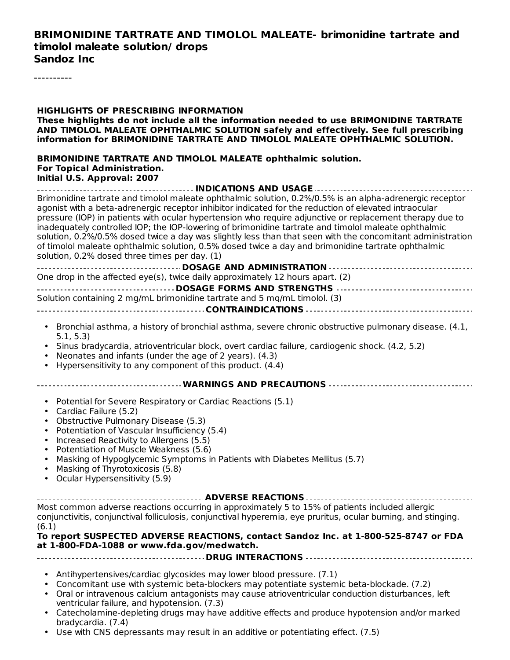#### **BRIMONIDINE TARTRATE AND TIMOLOL MALEATE- brimonidine tartrate and timolol maleate solution/ drops Sandoz Inc**

----------

**HIGHLIGHTS OF PRESCRIBING INFORMATION These highlights do not include all the information needed to use BRIMONIDINE TARTRATE AND TIMOLOL MALEATE OPHTHALMIC SOLUTION safely and effectively. See full prescribing information for BRIMONIDINE TARTRATE AND TIMOLOL MALEATE OPHTHALMIC SOLUTION. BRIMONIDINE TARTRATE AND TIMOLOL MALEATE ophthalmic solution. For Topical Administration. Initial U.S. Approval: 2007 INDICATIONS AND USAGE** Brimonidine tartrate and timolol maleate ophthalmic solution, 0.2%/0.5% is an alpha-adrenergic receptor agonist with a beta-adrenergic receptor inhibitor indicated for the reduction of elevated intraocular pressure (IOP) in patients with ocular hypertension who require adjunctive or replacement therapy due to inadequately controlled IOP; the IOP-lowering of brimonidine tartrate and timolol maleate ophthalmic solution, 0.2%/0.5% dosed twice a day was slightly less than that seen with the concomitant administration of timolol maleate ophthalmic solution, 0.5% dosed twice a day and brimonidine tartrate ophthalmic solution, 0.2% dosed three times per day. (1) **DOSAGE AND ADMINISTRATION** One drop in the affected eye(s), twice daily approximately 12 hours apart. (2) **DOSAGE FORMS AND STRENGTHS** Solution containing 2 mg/mL brimonidine tartrate and 5 mg/mL timolol. (3) **CONTRAINDICATIONS** • Bronchial asthma, a history of bronchial asthma, severe chronic obstructive pulmonary disease. (4.1, • Sinus bradycardia, atrioventricular block, overt cardiac failure, cardiogenic shock. (4.2, 5.2) • Neonates and infants (under the age of 2 years). (4.3) • Hypersensitivity to any component of this product. (4.4) **WARNINGS AND PRECAUTIONS** • Potential for Severe Respiratory or Cardiac Reactions (5.1) • Cardiac Failure (5.2) • Obstructive Pulmonary Disease (5.3) • Potentiation of Vascular Insufficiency (5.4) • Increased Reactivity to Allergens (5.5) • Potentiation of Muscle Weakness (5.6) • Masking of Hypoglycemic Symptoms in Patients with Diabetes Mellitus (5.7) • Masking of Thyrotoxicosis (5.8) • Ocular Hypersensitivity (5.9) **ADVERSE REACTIONS** Most common adverse reactions occurring in approximately 5 to 15% of patients included allergic conjunctivitis, conjunctival folliculosis, conjunctival hyperemia, eye pruritus, ocular burning, and stinging. (6.1) **To report SUSPECTED ADVERSE REACTIONS, contact Sandoz Inc. at 1-800-525-8747 or FDA at 1-800-FDA-1088 or www.fda.gov/medwatch. DRUG INTERACTIONS** • Antihypertensives/cardiac glycosides may lower blood pressure. (7.1) • Concomitant use with systemic beta-blockers may potentiate systemic beta-blockade. (7.2) • Oral or intravenous calcium antagonists may cause atrioventricular conduction disturbances, left 5.1, 5.3)

- ventricular failure, and hypotension. (7.3) Catecholamine-depleting drugs may have additive effects and produce hypotension and/or marked bradycardia. (7.4)
- Use with CNS depressants may result in an additive or potentiating effect. (7.5)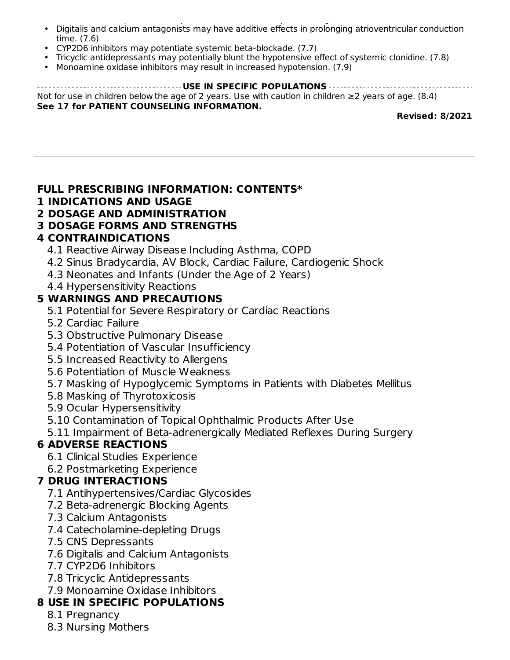- Use with CNS depressants may result in an additive or potentiating effect. (7.5) Digitalis and calcium antagonists may have additive effects in prolonging atrioventricular conduction time. (7.6)
- CYP2D6 inhibitors may potentiate systemic beta-blockade. (7.7)
- Tricyclic antidepressants may potentially blunt the hypotensive effect of systemic clonidine. (7.8)
- Monoamine oxidase inhibitors may result in increased hypotension. (7.9)

**USE IN SPECIFIC POPULATIONS** Not for use in children below the age of 2 years. Use with caution in children  $\geq$  years of age. (8.4) **See 17 for PATIENT COUNSELING INFORMATION.**

**Revised: 8/2021**

#### **FULL PRESCRIBING INFORMATION: CONTENTS\***

#### **1 INDICATIONS AND USAGE**

#### **2 DOSAGE AND ADMINISTRATION**

#### **3 DOSAGE FORMS AND STRENGTHS**

#### **4 CONTRAINDICATIONS**

- 4.1 Reactive Airway Disease Including Asthma, COPD
- 4.2 Sinus Bradycardia, AV Block, Cardiac Failure, Cardiogenic Shock
- 4.3 Neonates and Infants (Under the Age of 2 Years)
- 4.4 Hypersensitivity Reactions

### **5 WARNINGS AND PRECAUTIONS**

- 5.1 Potential for Severe Respiratory or Cardiac Reactions
- 5.2 Cardiac Failure
- 5.3 Obstructive Pulmonary Disease
- 5.4 Potentiation of Vascular Insufficiency
- 5.5 Increased Reactivity to Allergens
- 5.6 Potentiation of Muscle Weakness
- 5.7 Masking of Hypoglycemic Symptoms in Patients with Diabetes Mellitus
- 5.8 Masking of Thyrotoxicosis
- 5.9 Ocular Hypersensitivity
- 5.10 Contamination of Topical Ophthalmic Products After Use
- 5.11 Impairment of Beta-adrenergically Mediated Reflexes During Surgery

# **6 ADVERSE REACTIONS**

- 6.1 Clinical Studies Experience
- 6.2 Postmarketing Experience

#### **7 DRUG INTERACTIONS**

- 7.1 Antihypertensives/Cardiac Glycosides
- 7.2 Beta-adrenergic Blocking Agents
- 7.3 Calcium Antagonists
- 7.4 Catecholamine-depleting Drugs
- 7.5 CNS Depressants
- 7.6 Digitalis and Calcium Antagonists
- 7.7 CYP2D6 Inhibitors
- 7.8 Tricyclic Antidepressants
- 7.9 Monoamine Oxidase Inhibitors

# **8 USE IN SPECIFIC POPULATIONS**

- 8.1 Pregnancy
- 8.3 Nursing Mothers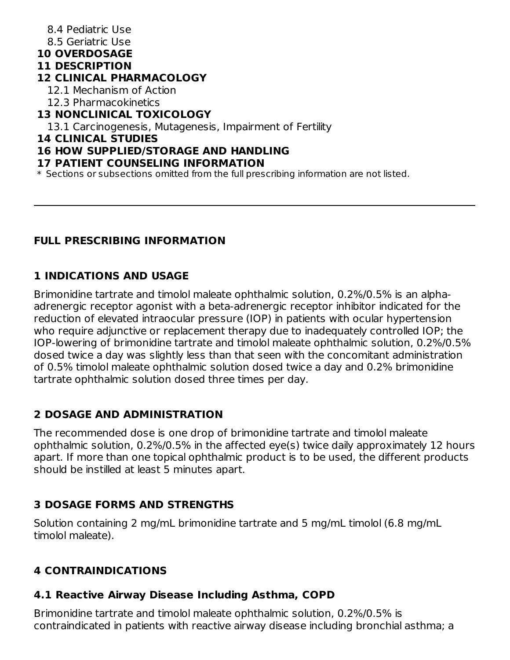8.4 Pediatric Use

8.5 Geriatric Use

**10 OVERDOSAGE**

# **11 DESCRIPTION**

#### **12 CLINICAL PHARMACOLOGY**

12.1 Mechanism of Action

12.3 Pharmacokinetics

#### **13 NONCLINICAL TOXICOLOGY**

13.1 Carcinogenesis, Mutagenesis, Impairment of Fertility

#### **14 CLINICAL STUDIES**

#### **16 HOW SUPPLIED/STORAGE AND HANDLING**

#### **17 PATIENT COUNSELING INFORMATION**

\* Sections or subsections omitted from the full prescribing information are not listed.

### **FULL PRESCRIBING INFORMATION**

# **1 INDICATIONS AND USAGE**

Brimonidine tartrate and timolol maleate ophthalmic solution, 0.2%/0.5% is an alphaadrenergic receptor agonist with a beta-adrenergic receptor inhibitor indicated for the reduction of elevated intraocular pressure (IOP) in patients with ocular hypertension who require adjunctive or replacement therapy due to inadequately controlled IOP; the IOP-lowering of brimonidine tartrate and timolol maleate ophthalmic solution, 0.2%/0.5% dosed twice a day was slightly less than that seen with the concomitant administration of 0.5% timolol maleate ophthalmic solution dosed twice a day and 0.2% brimonidine tartrate ophthalmic solution dosed three times per day.

# **2 DOSAGE AND ADMINISTRATION**

The recommended dose is one drop of brimonidine tartrate and timolol maleate ophthalmic solution, 0.2%/0.5% in the affected eye(s) twice daily approximately 12 hours apart. If more than one topical ophthalmic product is to be used, the different products should be instilled at least 5 minutes apart.

# **3 DOSAGE FORMS AND STRENGTHS**

Solution containing 2 mg/mL brimonidine tartrate and 5 mg/mL timolol (6.8 mg/mL timolol maleate).

# **4 CONTRAINDICATIONS**

# **4.1 Reactive Airway Disease Including Asthma, COPD**

Brimonidine tartrate and timolol maleate ophthalmic solution, 0.2%/0.5% is contraindicated in patients with reactive airway disease including bronchial asthma; a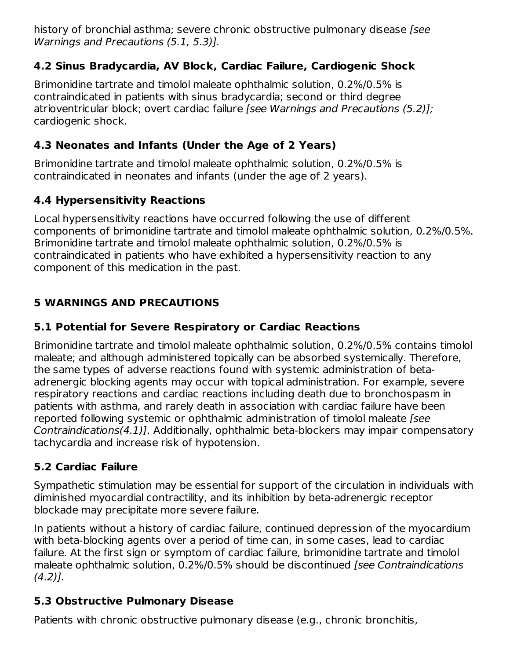history of bronchial asthma; severe chronic obstructive pulmonary disease [see] Warnings and Precautions (5.1, 5.3)].

### **4.2 Sinus Bradycardia, AV Block, Cardiac Failure, Cardiogenic Shock**

Brimonidine tartrate and timolol maleate ophthalmic solution, 0.2%/0.5% is contraindicated in patients with sinus bradycardia; second or third degree atrioventricular block; overt cardiac failure [see Warnings and Precautions (5.2)]; cardiogenic shock.

# **4.3 Neonates and Infants (Under the Age of 2 Years)**

Brimonidine tartrate and timolol maleate ophthalmic solution, 0.2%/0.5% is contraindicated in neonates and infants (under the age of 2 years).

# **4.4 Hypersensitivity Reactions**

Local hypersensitivity reactions have occurred following the use of different components of brimonidine tartrate and timolol maleate ophthalmic solution, 0.2%/0.5%. Brimonidine tartrate and timolol maleate ophthalmic solution, 0.2%/0.5% is contraindicated in patients who have exhibited a hypersensitivity reaction to any component of this medication in the past.

# **5 WARNINGS AND PRECAUTIONS**

# **5.1 Potential for Severe Respiratory or Cardiac Reactions**

Brimonidine tartrate and timolol maleate ophthalmic solution, 0.2%/0.5% contains timolol maleate; and although administered topically can be absorbed systemically. Therefore, the same types of adverse reactions found with systemic administration of betaadrenergic blocking agents may occur with topical administration. For example, severe respiratory reactions and cardiac reactions including death due to bronchospasm in patients with asthma, and rarely death in association with cardiac failure have been reported following systemic or ophthalmic administration of timolol maleate [see Contraindications(4.1)]. Additionally, ophthalmic beta-blockers may impair compensatory tachycardia and increase risk of hypotension.

# **5.2 Cardiac Failure**

Sympathetic stimulation may be essential for support of the circulation in individuals with diminished myocardial contractility, and its inhibition by beta-adrenergic receptor blockade may precipitate more severe failure.

In patients without a history of cardiac failure, continued depression of the myocardium with beta-blocking agents over a period of time can, in some cases, lead to cardiac failure. At the first sign or symptom of cardiac failure, brimonidine tartrate and timolol maleate ophthalmic solution, 0.2%/0.5% should be discontinued [see Contraindications  $(4.2)$ ].

# **5.3 Obstructive Pulmonary Disease**

Patients with chronic obstructive pulmonary disease (e.g., chronic bronchitis,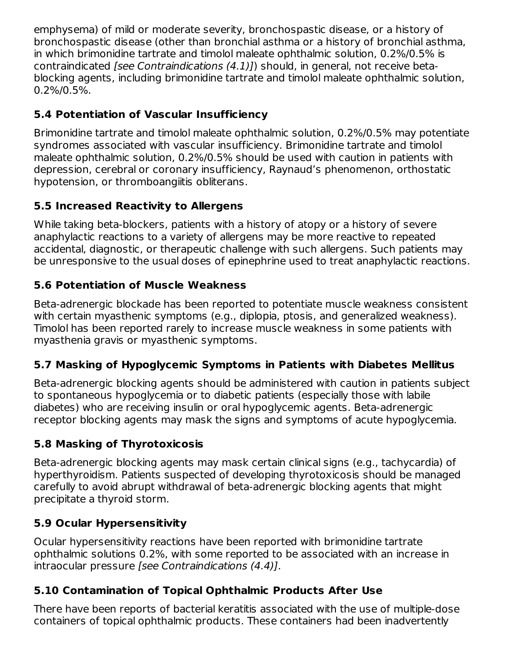emphysema) of mild or moderate severity, bronchospastic disease, or a history of bronchospastic disease (other than bronchial asthma or a history of bronchial asthma, in which brimonidine tartrate and timolol maleate ophthalmic solution, 0.2%/0.5% is contraindicated [see Contraindications (4.1)]) should, in general, not receive betablocking agents, including brimonidine tartrate and timolol maleate ophthalmic solution, 0.2%/0.5%.

# **5.4 Potentiation of Vascular Insufficiency**

Brimonidine tartrate and timolol maleate ophthalmic solution, 0.2%/0.5% may potentiate syndromes associated with vascular insufficiency. Brimonidine tartrate and timolol maleate ophthalmic solution, 0.2%/0.5% should be used with caution in patients with depression, cerebral or coronary insufficiency, Raynaud's phenomenon, orthostatic hypotension, or thromboangiitis obliterans.

# **5.5 Increased Reactivity to Allergens**

While taking beta-blockers, patients with a history of atopy or a history of severe anaphylactic reactions to a variety of allergens may be more reactive to repeated accidental, diagnostic, or therapeutic challenge with such allergens. Such patients may be unresponsive to the usual doses of epinephrine used to treat anaphylactic reactions.

# **5.6 Potentiation of Muscle Weakness**

Beta-adrenergic blockade has been reported to potentiate muscle weakness consistent with certain myasthenic symptoms (e.g., diplopia, ptosis, and generalized weakness). Timolol has been reported rarely to increase muscle weakness in some patients with myasthenia gravis or myasthenic symptoms.

# **5.7 Masking of Hypoglycemic Symptoms in Patients with Diabetes Mellitus**

Beta-adrenergic blocking agents should be administered with caution in patients subject to spontaneous hypoglycemia or to diabetic patients (especially those with labile diabetes) who are receiving insulin or oral hypoglycemic agents. Beta-adrenergic receptor blocking agents may mask the signs and symptoms of acute hypoglycemia.

# **5.8 Masking of Thyrotoxicosis**

Beta-adrenergic blocking agents may mask certain clinical signs (e.g., tachycardia) of hyperthyroidism. Patients suspected of developing thyrotoxicosis should be managed carefully to avoid abrupt withdrawal of beta-adrenergic blocking agents that might precipitate a thyroid storm.

# **5.9 Ocular Hypersensitivity**

Ocular hypersensitivity reactions have been reported with brimonidine tartrate ophthalmic solutions 0.2%, with some reported to be associated with an increase in intraocular pressure [see Contraindications (4.4)].

# **5.10 Contamination of Topical Ophthalmic Products After Use**

There have been reports of bacterial keratitis associated with the use of multiple-dose containers of topical ophthalmic products. These containers had been inadvertently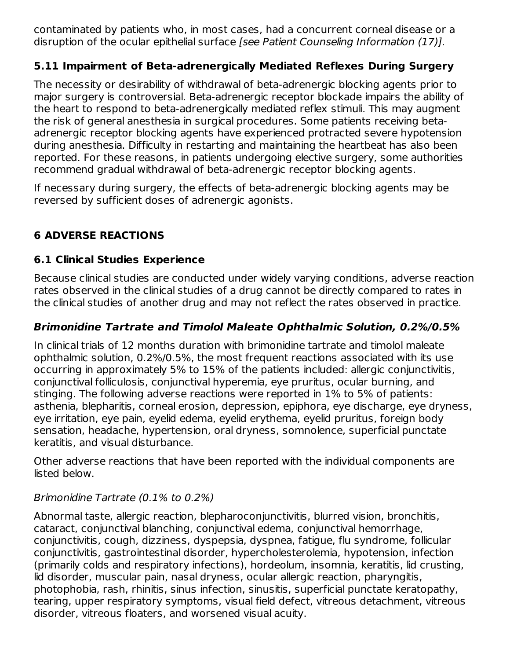contaminated by patients who, in most cases, had a concurrent corneal disease or a disruption of the ocular epithelial surface [see Patient Counseling Information (17)].

#### **5.11 Impairment of Beta-adrenergically Mediated Reflexes During Surgery**

The necessity or desirability of withdrawal of beta-adrenergic blocking agents prior to major surgery is controversial. Beta-adrenergic receptor blockade impairs the ability of the heart to respond to beta-adrenergically mediated reflex stimuli. This may augment the risk of general anesthesia in surgical procedures. Some patients receiving betaadrenergic receptor blocking agents have experienced protracted severe hypotension during anesthesia. Difficulty in restarting and maintaining the heartbeat has also been reported. For these reasons, in patients undergoing elective surgery, some authorities recommend gradual withdrawal of beta-adrenergic receptor blocking agents.

If necessary during surgery, the effects of beta-adrenergic blocking agents may be reversed by sufficient doses of adrenergic agonists.

# **6 ADVERSE REACTIONS**

#### **6.1 Clinical Studies Experience**

Because clinical studies are conducted under widely varying conditions, adverse reaction rates observed in the clinical studies of a drug cannot be directly compared to rates in the clinical studies of another drug and may not reflect the rates observed in practice.

### **Brimonidine Tartrate and Timolol Maleate Ophthalmic Solution, 0.2%/0.5%**

In clinical trials of 12 months duration with brimonidine tartrate and timolol maleate ophthalmic solution, 0.2%/0.5%, the most frequent reactions associated with its use occurring in approximately 5% to 15% of the patients included: allergic conjunctivitis, conjunctival folliculosis, conjunctival hyperemia, eye pruritus, ocular burning, and stinging. The following adverse reactions were reported in 1% to 5% of patients: asthenia, blepharitis, corneal erosion, depression, epiphora, eye discharge, eye dryness, eye irritation, eye pain, eyelid edema, eyelid erythema, eyelid pruritus, foreign body sensation, headache, hypertension, oral dryness, somnolence, superficial punctate keratitis, and visual disturbance.

Other adverse reactions that have been reported with the individual components are listed below.

#### Brimonidine Tartrate (0.1% to 0.2%)

Abnormal taste, allergic reaction, blepharoconjunctivitis, blurred vision, bronchitis, cataract, conjunctival blanching, conjunctival edema, conjunctival hemorrhage, conjunctivitis, cough, dizziness, dyspepsia, dyspnea, fatigue, flu syndrome, follicular conjunctivitis, gastrointestinal disorder, hypercholesterolemia, hypotension, infection (primarily colds and respiratory infections), hordeolum, insomnia, keratitis, lid crusting, lid disorder, muscular pain, nasal dryness, ocular allergic reaction, pharyngitis, photophobia, rash, rhinitis, sinus infection, sinusitis, superficial punctate keratopathy, tearing, upper respiratory symptoms, visual field defect, vitreous detachment, vitreous disorder, vitreous floaters, and worsened visual acuity.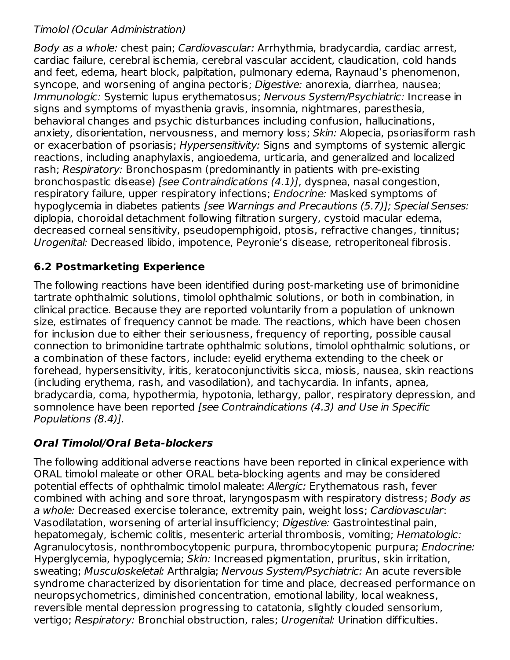### Timolol (Ocular Administration)

Body as a whole: chest pain; Cardiovascular: Arrhythmia, bradycardia, cardiac arrest, cardiac failure, cerebral ischemia, cerebral vascular accident, claudication, cold hands and feet, edema, heart block, palpitation, pulmonary edema, Raynaud's phenomenon, syncope, and worsening of angina pectoris; Digestive: anorexia, diarrhea, nausea; Immunologic: Systemic lupus erythematosus; Nervous System/Psychiatric: Increase in signs and symptoms of myasthenia gravis, insomnia, nightmares, paresthesia, behavioral changes and psychic disturbances including confusion, hallucinations, anxiety, disorientation, nervousness, and memory loss; Skin: Alopecia, psoriasiform rash or exacerbation of psoriasis; *Hypersensitivity:* Signs and symptoms of systemic allergic reactions, including anaphylaxis, angioedema, urticaria, and generalized and localized rash; Respiratory: Bronchospasm (predominantly in patients with pre-existing bronchospastic disease) [see Contraindications (4.1)], dyspnea, nasal congestion, respiratory failure, upper respiratory infections; Endocrine: Masked symptoms of hypoglycemia in diabetes patients [see Warnings and Precautions (5.7)]; Special Senses: diplopia, choroidal detachment following filtration surgery, cystoid macular edema, decreased corneal sensitivity, pseudopemphigoid, ptosis, refractive changes, tinnitus; Urogenital: Decreased libido, impotence, Peyronie's disease, retroperitoneal fibrosis.

### **6.2 Postmarketing Experience**

The following reactions have been identified during post-marketing use of brimonidine tartrate ophthalmic solutions, timolol ophthalmic solutions, or both in combination, in clinical practice. Because they are reported voluntarily from a population of unknown size, estimates of frequency cannot be made. The reactions, which have been chosen for inclusion due to either their seriousness, frequency of reporting, possible causal connection to brimonidine tartrate ophthalmic solutions, timolol ophthalmic solutions, or a combination of these factors, include: eyelid erythema extending to the cheek or forehead, hypersensitivity, iritis, keratoconjunctivitis sicca, miosis, nausea, skin reactions (including erythema, rash, and vasodilation), and tachycardia. In infants, apnea, bradycardia, coma, hypothermia, hypotonia, lethargy, pallor, respiratory depression, and somnolence have been reported [see Contraindications (4.3) and Use in Specific Populations (8.4)].

# **Oral Timolol/Oral Beta-blockers**

The following additional adverse reactions have been reported in clinical experience with ORAL timolol maleate or other ORAL beta-blocking agents and may be considered potential effects of ophthalmic timolol maleate: Allergic: Erythematous rash, fever combined with aching and sore throat, laryngospasm with respiratory distress; Body as a whole: Decreased exercise tolerance, extremity pain, weight loss; Cardiovascular: Vasodilatation, worsening of arterial insufficiency; Digestive: Gastrointestinal pain, hepatomegaly, ischemic colitis, mesenteric arterial thrombosis, vomiting; Hematologic: Agranulocytosis, nonthrombocytopenic purpura, thrombocytopenic purpura; Endocrine: Hyperglycemia, hypoglycemia; Skin: Increased pigmentation, pruritus, skin irritation, sweating; Musculoskeletal: Arthralgia; Nervous System/Psychiatric: An acute reversible syndrome characterized by disorientation for time and place, decreased performance on neuropsychometrics, diminished concentration, emotional lability, local weakness, reversible mental depression progressing to catatonia, slightly clouded sensorium, vertigo; Respiratory: Bronchial obstruction, rales; Urogenital: Urination difficulties.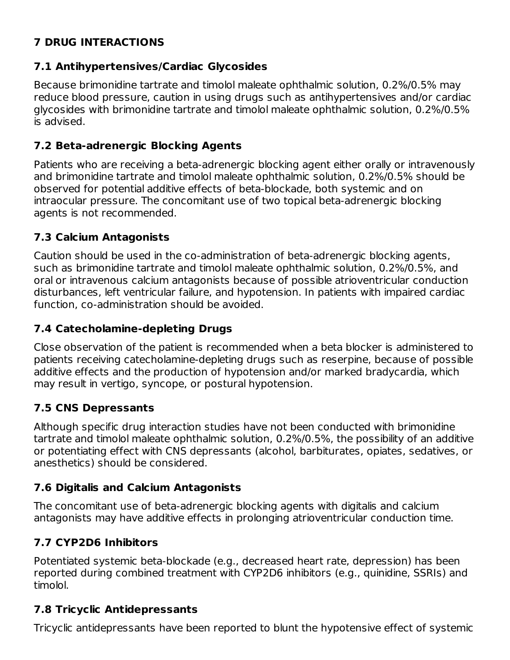# **7 DRUG INTERACTIONS**

#### **7.1 Antihypertensives/Cardiac Glycosides**

Because brimonidine tartrate and timolol maleate ophthalmic solution, 0.2%/0.5% may reduce blood pressure, caution in using drugs such as antihypertensives and/or cardiac glycosides with brimonidine tartrate and timolol maleate ophthalmic solution, 0.2%/0.5% is advised.

### **7.2 Beta-adrenergic Blocking Agents**

Patients who are receiving a beta-adrenergic blocking agent either orally or intravenously and brimonidine tartrate and timolol maleate ophthalmic solution, 0.2%/0.5% should be observed for potential additive effects of beta-blockade, both systemic and on intraocular pressure. The concomitant use of two topical beta-adrenergic blocking agents is not recommended.

### **7.3 Calcium Antagonists**

Caution should be used in the co-administration of beta-adrenergic blocking agents, such as brimonidine tartrate and timolol maleate ophthalmic solution, 0.2%/0.5%, and oral or intravenous calcium antagonists because of possible atrioventricular conduction disturbances, left ventricular failure, and hypotension. In patients with impaired cardiac function, co-administration should be avoided.

# **7.4 Catecholamine-depleting Drugs**

Close observation of the patient is recommended when a beta blocker is administered to patients receiving catecholamine-depleting drugs such as reserpine, because of possible additive effects and the production of hypotension and/or marked bradycardia, which may result in vertigo, syncope, or postural hypotension.

#### **7.5 CNS Depressants**

Although specific drug interaction studies have not been conducted with brimonidine tartrate and timolol maleate ophthalmic solution, 0.2%/0.5%, the possibility of an additive or potentiating effect with CNS depressants (alcohol, barbiturates, opiates, sedatives, or anesthetics) should be considered.

#### **7.6 Digitalis and Calcium Antagonists**

The concomitant use of beta-adrenergic blocking agents with digitalis and calcium antagonists may have additive effects in prolonging atrioventricular conduction time.

# **7.7 CYP2D6 Inhibitors**

Potentiated systemic beta-blockade (e.g., decreased heart rate, depression) has been reported during combined treatment with CYP2D6 inhibitors (e.g., quinidine, SSRIs) and timolol.

# **7.8 Tricyclic Antidepressants**

Tricyclic antidepressants have been reported to blunt the hypotensive effect of systemic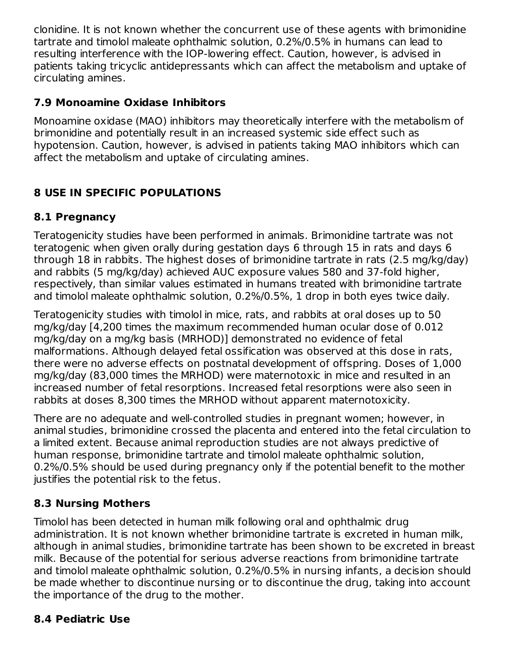clonidine. It is not known whether the concurrent use of these agents with brimonidine tartrate and timolol maleate ophthalmic solution, 0.2%/0.5% in humans can lead to resulting interference with the IOP-lowering effect. Caution, however, is advised in patients taking tricyclic antidepressants which can affect the metabolism and uptake of circulating amines.

# **7.9 Monoamine Oxidase Inhibitors**

Monoamine oxidase (MAO) inhibitors may theoretically interfere with the metabolism of brimonidine and potentially result in an increased systemic side effect such as hypotension. Caution, however, is advised in patients taking MAO inhibitors which can affect the metabolism and uptake of circulating amines.

# **8 USE IN SPECIFIC POPULATIONS**

### **8.1 Pregnancy**

Teratogenicity studies have been performed in animals. Brimonidine tartrate was not teratogenic when given orally during gestation days 6 through 15 in rats and days 6 through 18 in rabbits. The highest doses of brimonidine tartrate in rats (2.5 mg/kg/day) and rabbits (5 mg/kg/day) achieved AUC exposure values 580 and 37-fold higher, respectively, than similar values estimated in humans treated with brimonidine tartrate and timolol maleate ophthalmic solution, 0.2%/0.5%, 1 drop in both eyes twice daily.

Teratogenicity studies with timolol in mice, rats, and rabbits at oral doses up to 50 mg/kg/day [4,200 times the maximum recommended human ocular dose of 0.012 mg/kg/day on a mg/kg basis (MRHOD)] demonstrated no evidence of fetal malformations. Although delayed fetal ossification was observed at this dose in rats, there were no adverse effects on postnatal development of offspring. Doses of 1,000 mg/kg/day (83,000 times the MRHOD) were maternotoxic in mice and resulted in an increased number of fetal resorptions. Increased fetal resorptions were also seen in rabbits at doses 8,300 times the MRHOD without apparent maternotoxicity.

There are no adequate and well-controlled studies in pregnant women; however, in animal studies, brimonidine crossed the placenta and entered into the fetal circulation to a limited extent. Because animal reproduction studies are not always predictive of human response, brimonidine tartrate and timolol maleate ophthalmic solution, 0.2%/0.5% should be used during pregnancy only if the potential benefit to the mother justifies the potential risk to the fetus.

# **8.3 Nursing Mothers**

Timolol has been detected in human milk following oral and ophthalmic drug administration. It is not known whether brimonidine tartrate is excreted in human milk, although in animal studies, brimonidine tartrate has been shown to be excreted in breast milk. Because of the potential for serious adverse reactions from brimonidine tartrate and timolol maleate ophthalmic solution, 0.2%/0.5% in nursing infants, a decision should be made whether to discontinue nursing or to discontinue the drug, taking into account the importance of the drug to the mother.

#### **8.4 Pediatric Use**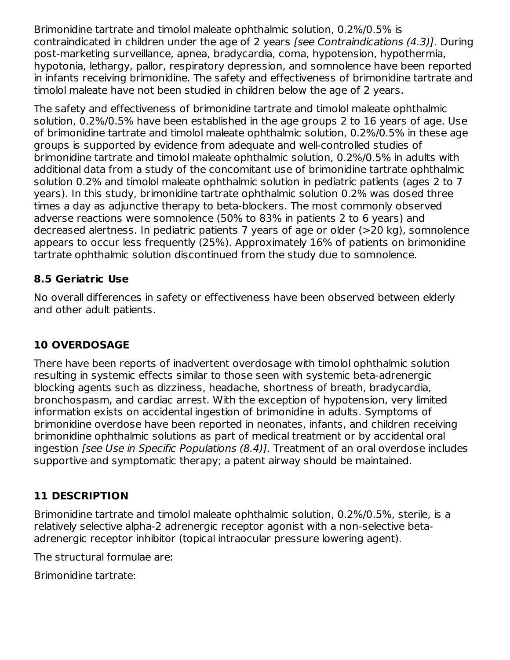Brimonidine tartrate and timolol maleate ophthalmic solution, 0.2%/0.5% is contraindicated in children under the age of 2 years [see Contraindications (4.3)]. During post-marketing surveillance, apnea, bradycardia, coma, hypotension, hypothermia, hypotonia, lethargy, pallor, respiratory depression, and somnolence have been reported in infants receiving brimonidine. The safety and effectiveness of brimonidine tartrate and timolol maleate have not been studied in children below the age of 2 years.

The safety and effectiveness of brimonidine tartrate and timolol maleate ophthalmic solution, 0.2%/0.5% have been established in the age groups 2 to 16 years of age. Use of brimonidine tartrate and timolol maleate ophthalmic solution, 0.2%/0.5% in these age groups is supported by evidence from adequate and well-controlled studies of brimonidine tartrate and timolol maleate ophthalmic solution, 0.2%/0.5% in adults with additional data from a study of the concomitant use of brimonidine tartrate ophthalmic solution 0.2% and timolol maleate ophthalmic solution in pediatric patients (ages 2 to 7 years). In this study, brimonidine tartrate ophthalmic solution 0.2% was dosed three times a day as adjunctive therapy to beta-blockers. The most commonly observed adverse reactions were somnolence (50% to 83% in patients 2 to 6 years) and decreased alertness. In pediatric patients 7 years of age or older (>20 kg), somnolence appears to occur less frequently (25%). Approximately 16% of patients on brimonidine tartrate ophthalmic solution discontinued from the study due to somnolence.

#### **8.5 Geriatric Use**

No overall differences in safety or effectiveness have been observed between elderly and other adult patients.

# **10 OVERDOSAGE**

There have been reports of inadvertent overdosage with timolol ophthalmic solution resulting in systemic effects similar to those seen with systemic beta-adrenergic blocking agents such as dizziness, headache, shortness of breath, bradycardia, bronchospasm, and cardiac arrest. With the exception of hypotension, very limited information exists on accidental ingestion of brimonidine in adults. Symptoms of brimonidine overdose have been reported in neonates, infants, and children receiving brimonidine ophthalmic solutions as part of medical treatment or by accidental oral ingestion [see Use in Specific Populations (8.4)]. Treatment of an oral overdose includes supportive and symptomatic therapy; a patent airway should be maintained.

# **11 DESCRIPTION**

Brimonidine tartrate and timolol maleate ophthalmic solution, 0.2%/0.5%, sterile, is a relatively selective alpha-2 adrenergic receptor agonist with a non-selective betaadrenergic receptor inhibitor (topical intraocular pressure lowering agent).

The structural formulae are:

Brimonidine tartrate: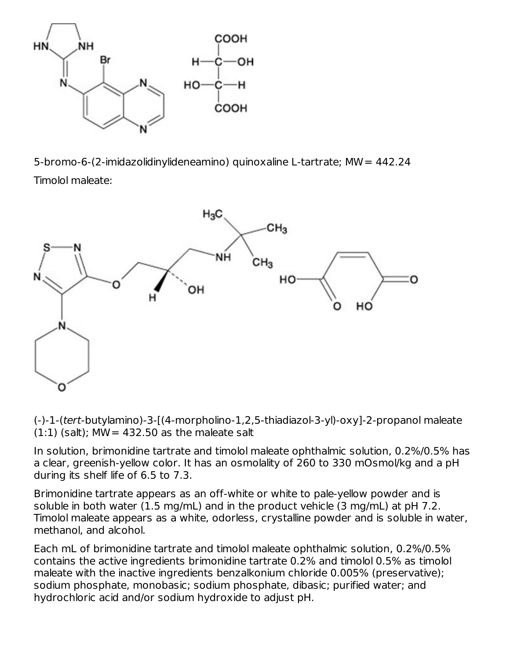

5-bromo-6-(2-imidazolidinylideneamino) quinoxaline L-tartrate; MW= 442.24 Timolol maleate:



(-)-1-(tert-butylamino)-3-[(4-morpholino-1,2,5-thiadiazol-3-yl)-oxy]-2-propanol maleate  $(1:1)$  (salt); MW = 432.50 as the maleate salt

In solution, brimonidine tartrate and timolol maleate ophthalmic solution, 0.2%/0.5% has a clear, greenish-yellow color. It has an osmolality of 260 to 330 mOsmol/kg and a pH during its shelf life of 6.5 to 7.3.

Brimonidine tartrate appears as an off-white or white to pale-yellow powder and is soluble in both water (1.5 mg/mL) and in the product vehicle (3 mg/mL) at pH 7.2. Timolol maleate appears as a white, odorless, crystalline powder and is soluble in water, methanol, and alcohol.

Each mL of brimonidine tartrate and timolol maleate ophthalmic solution, 0.2%/0.5% contains the active ingredients brimonidine tartrate 0.2% and timolol 0.5% as timolol maleate with the inactive ingredients benzalkonium chloride 0.005% (preservative); sodium phosphate, monobasic; sodium phosphate, dibasic; purified water; and hydrochloric acid and/or sodium hydroxide to adjust pH.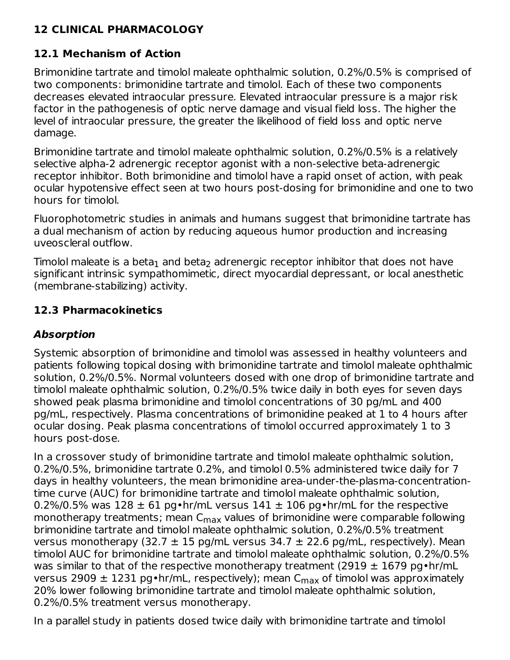## **12 CLINICAL PHARMACOLOGY**

## **12.1 Mechanism of Action**

Brimonidine tartrate and timolol maleate ophthalmic solution, 0.2%/0.5% is comprised of two components: brimonidine tartrate and timolol. Each of these two components decreases elevated intraocular pressure. Elevated intraocular pressure is a major risk factor in the pathogenesis of optic nerve damage and visual field loss. The higher the level of intraocular pressure, the greater the likelihood of field loss and optic nerve damage.

Brimonidine tartrate and timolol maleate ophthalmic solution, 0.2%/0.5% is a relatively selective alpha-2 adrenergic receptor agonist with a non-selective beta-adrenergic receptor inhibitor. Both brimonidine and timolol have a rapid onset of action, with peak ocular hypotensive effect seen at two hours post-dosing for brimonidine and one to two hours for timolol.

Fluorophotometric studies in animals and humans suggest that brimonidine tartrate has a dual mechanism of action by reducing aqueous humor production and increasing uveoscleral outflow.

Timolol maleate is a beta $_{\rm 1}$  and beta $_{\rm 2}$  adrenergic receptor inhibitor that does not have significant intrinsic sympathomimetic, direct myocardial depressant, or local anesthetic (membrane-stabilizing) activity.

### **12.3 Pharmacokinetics**

## **Absorption**

Systemic absorption of brimonidine and timolol was assessed in healthy volunteers and patients following topical dosing with brimonidine tartrate and timolol maleate ophthalmic solution, 0.2%/0.5%. Normal volunteers dosed with one drop of brimonidine tartrate and timolol maleate ophthalmic solution, 0.2%/0.5% twice daily in both eyes for seven days showed peak plasma brimonidine and timolol concentrations of 30 pg/mL and 400 pg/mL, respectively. Plasma concentrations of brimonidine peaked at 1 to 4 hours after ocular dosing. Peak plasma concentrations of timolol occurred approximately 1 to 3 hours post-dose.

In a crossover study of brimonidine tartrate and timolol maleate ophthalmic solution, 0.2%/0.5%, brimonidine tartrate 0.2%, and timolol 0.5% administered twice daily for 7 days in healthy volunteers, the mean brimonidine area-under-the-plasma-concentrationtime curve (AUC) for brimonidine tartrate and timolol maleate ophthalmic solution, 0.2%/0.5% was  $128 \pm 61$  pg•hr/mL versus  $141 \pm 106$  pg•hr/mL for the respective monotherapy treatments; mean C $_{\sf max}$  values of brimonidine were comparable following brimonidine tartrate and timolol maleate ophthalmic solution, 0.2%/0.5% treatment versus monotherapy (32.7  $\pm$  15 pg/mL versus 34.7  $\pm$  22.6 pg/mL, respectively). Mean timolol AUC for brimonidine tartrate and timolol maleate ophthalmic solution, 0.2%/0.5% was similar to that of the respective monotherapy treatment (2919  $\pm$  1679 pg•hr/mL versus 2909 ± 1231 pg•hr/mL, respectively); mean C<sub>max</sub> of timolol was approximately 20% lower following brimonidine tartrate and timolol maleate ophthalmic solution, 0.2%/0.5% treatment versus monotherapy.

In a parallel study in patients dosed twice daily with brimonidine tartrate and timolol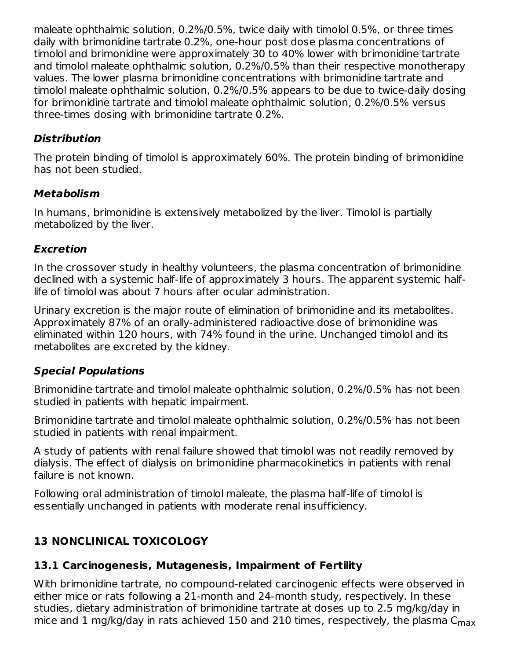maleate ophthalmic solution, 0.2%/0.5%, twice daily with timolol 0.5%, or three times daily with brimonidine tartrate 0.2%, one-hour post dose plasma concentrations of timolol and brimonidine were approximately 30 to 40% lower with brimonidine tartrate and timolol maleate ophthalmic solution, 0.2%/0.5% than their respective monotherapy values. The lower plasma brimonidine concentrations with brimonidine tartrate and timolol maleate ophthalmic solution, 0.2%/0.5% appears to be due to twice-daily dosing for brimonidine tartrate and timolol maleate ophthalmic solution, 0.2%/0.5% versus three-times dosing with brimonidine tartrate 0.2%.

## **Distribution**

The protein binding of timolol is approximately 60%. The protein binding of brimonidine has not been studied.

# **Metabolism**

In humans, brimonidine is extensively metabolized by the liver. Timolol is partially metabolized by the liver.

# **Excretion**

In the crossover study in healthy volunteers, the plasma concentration of brimonidine declined with a systemic half-life of approximately 3 hours. The apparent systemic halflife of timolol was about 7 hours after ocular administration.

Urinary excretion is the major route of elimination of brimonidine and its metabolites. Approximately 87% of an orally-administered radioactive dose of brimonidine was eliminated within 120 hours, with 74% found in the urine. Unchanged timolol and its metabolites are excreted by the kidney.

# **Special Populations**

Brimonidine tartrate and timolol maleate ophthalmic solution, 0.2%/0.5% has not been studied in patients with hepatic impairment.

Brimonidine tartrate and timolol maleate ophthalmic solution, 0.2%/0.5% has not been studied in patients with renal impairment.

A study of patients with renal failure showed that timolol was not readily removed by dialysis. The effect of dialysis on brimonidine pharmacokinetics in patients with renal failure is not known.

Following oral administration of timolol maleate, the plasma half-life of timolol is essentially unchanged in patients with moderate renal insufficiency.

# **13 NONCLINICAL TOXICOLOGY**

# **13.1 Carcinogenesis, Mutagenesis, Impairment of Fertility**

With brimonidine tartrate, no compound-related carcinogenic effects were observed in either mice or rats following a 21-month and 24-month study, respectively. In these studies, dietary administration of brimonidine tartrate at doses up to 2.5 mg/kg/day in mice and 1 mg/kg/day in rats achieved 150 and 210 times, respectively, the plasma  $C_{\text{max}}$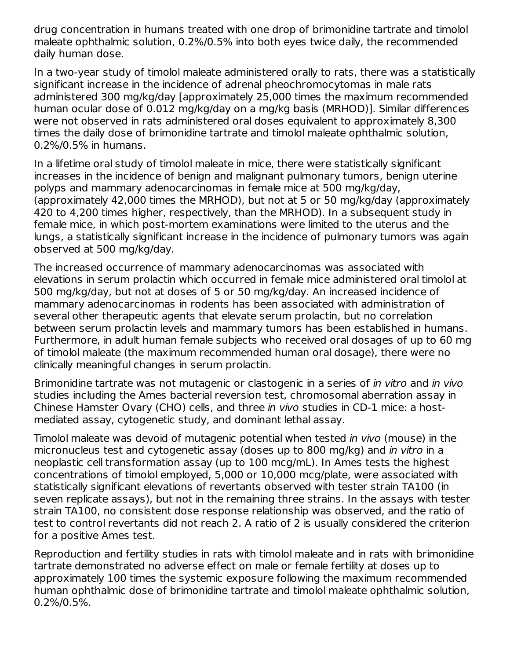drug concentration in humans treated with one drop of brimonidine tartrate and timolol maleate ophthalmic solution, 0.2%/0.5% into both eyes twice daily, the recommended daily human dose.

In a two-year study of timolol maleate administered orally to rats, there was a statistically significant increase in the incidence of adrenal pheochromocytomas in male rats administered 300 mg/kg/day [approximately 25,000 times the maximum recommended human ocular dose of 0.012 mg/kg/day on a mg/kg basis (MRHOD)]. Similar differences were not observed in rats administered oral doses equivalent to approximately 8,300 times the daily dose of brimonidine tartrate and timolol maleate ophthalmic solution, 0.2%/0.5% in humans.

In a lifetime oral study of timolol maleate in mice, there were statistically significant increases in the incidence of benign and malignant pulmonary tumors, benign uterine polyps and mammary adenocarcinomas in female mice at 500 mg/kg/day, (approximately 42,000 times the MRHOD), but not at 5 or 50 mg/kg/day (approximately 420 to 4,200 times higher, respectively, than the MRHOD). In a subsequent study in female mice, in which post-mortem examinations were limited to the uterus and the lungs, a statistically significant increase in the incidence of pulmonary tumors was again observed at 500 mg/kg/day.

The increased occurrence of mammary adenocarcinomas was associated with elevations in serum prolactin which occurred in female mice administered oral timolol at 500 mg/kg/day, but not at doses of 5 or 50 mg/kg/day. An increased incidence of mammary adenocarcinomas in rodents has been associated with administration of several other therapeutic agents that elevate serum prolactin, but no correlation between serum prolactin levels and mammary tumors has been established in humans. Furthermore, in adult human female subjects who received oral dosages of up to 60 mg of timolol maleate (the maximum recommended human oral dosage), there were no clinically meaningful changes in serum prolactin.

Brimonidine tartrate was not mutagenic or clastogenic in a series of in vitro and in vivo studies including the Ames bacterial reversion test, chromosomal aberration assay in Chinese Hamster Ovary (CHO) cells, and three in vivo studies in CD-1 mice: a hostmediated assay, cytogenetic study, and dominant lethal assay.

Timolol maleate was devoid of mutagenic potential when tested in vivo (mouse) in the micronucleus test and cytogenetic assay (doses up to 800 mg/kg) and in vitro in a neoplastic cell transformation assay (up to 100 mcg/mL). In Ames tests the highest concentrations of timolol employed, 5,000 or 10,000 mcg/plate, were associated with statistically significant elevations of revertants observed with tester strain TA100 (in seven replicate assays), but not in the remaining three strains. In the assays with tester strain TA100, no consistent dose response relationship was observed, and the ratio of test to control revertants did not reach 2. A ratio of 2 is usually considered the criterion for a positive Ames test.

Reproduction and fertility studies in rats with timolol maleate and in rats with brimonidine tartrate demonstrated no adverse effect on male or female fertility at doses up to approximately 100 times the systemic exposure following the maximum recommended human ophthalmic dose of brimonidine tartrate and timolol maleate ophthalmic solution, 0.2%/0.5%.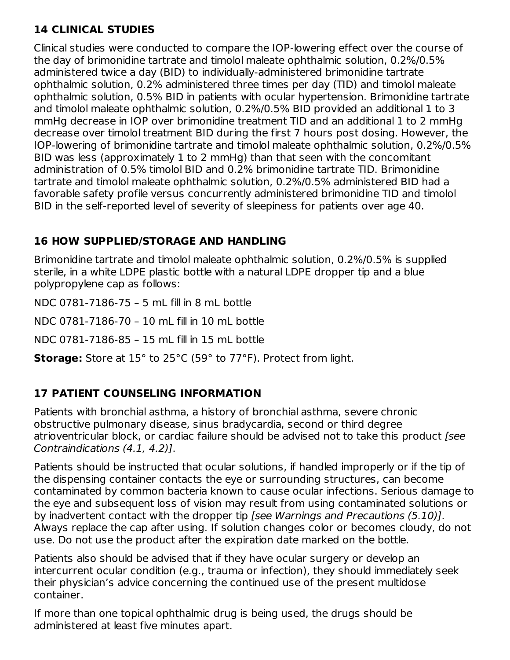## **14 CLINICAL STUDIES**

Clinical studies were conducted to compare the IOP-lowering effect over the course of the day of brimonidine tartrate and timolol maleate ophthalmic solution, 0.2%/0.5% administered twice a day (BID) to individually-administered brimonidine tartrate ophthalmic solution, 0.2% administered three times per day (TID) and timolol maleate ophthalmic solution, 0.5% BID in patients with ocular hypertension. Brimonidine tartrate and timolol maleate ophthalmic solution, 0.2%/0.5% BID provided an additional 1 to 3 mmHg decrease in IOP over brimonidine treatment TID and an additional 1 to 2 mmHg decrease over timolol treatment BID during the first 7 hours post dosing. However, the IOP-lowering of brimonidine tartrate and timolol maleate ophthalmic solution, 0.2%/0.5% BID was less (approximately 1 to 2 mmHg) than that seen with the concomitant administration of 0.5% timolol BID and 0.2% brimonidine tartrate TID. Brimonidine tartrate and timolol maleate ophthalmic solution, 0.2%/0.5% administered BID had a favorable safety profile versus concurrently administered brimonidine TID and timolol BID in the self-reported level of severity of sleepiness for patients over age 40.

### **16 HOW SUPPLIED/STORAGE AND HANDLING**

Brimonidine tartrate and timolol maleate ophthalmic solution, 0.2%/0.5% is supplied sterile, in a white LDPE plastic bottle with a natural LDPE dropper tip and a blue polypropylene cap as follows:

NDC 0781-7186-75 – 5 mL fill in 8 mL bottle

NDC 0781-7186-70 – 10 mL fill in 10 mL bottle

NDC 0781-7186-85 – 15 mL fill in 15 mL bottle

**Storage:** Store at 15° to 25°C (59° to 77°F). Protect from light.

# **17 PATIENT COUNSELING INFORMATION**

Patients with bronchial asthma, a history of bronchial asthma, severe chronic obstructive pulmonary disease, sinus bradycardia, second or third degree atrioventricular block, or cardiac failure should be advised not to take this product (see Contraindications (4.1, 4.2)].

Patients should be instructed that ocular solutions, if handled improperly or if the tip of the dispensing container contacts the eye or surrounding structures, can become contaminated by common bacteria known to cause ocular infections. Serious damage to the eye and subsequent loss of vision may result from using contaminated solutions or by inadvertent contact with the dropper tip [see Warnings and Precautions (5.10)]. Always replace the cap after using. If solution changes color or becomes cloudy, do not use. Do not use the product after the expiration date marked on the bottle.

Patients also should be advised that if they have ocular surgery or develop an intercurrent ocular condition (e.g., trauma or infection), they should immediately seek their physician's advice concerning the continued use of the present multidose container.

If more than one topical ophthalmic drug is being used, the drugs should be administered at least five minutes apart.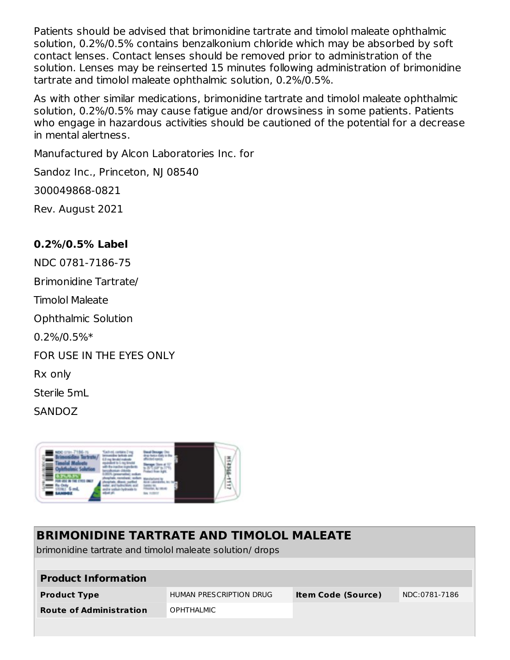Patients should be advised that brimonidine tartrate and timolol maleate ophthalmic solution, 0.2%/0.5% contains benzalkonium chloride which may be absorbed by soft contact lenses. Contact lenses should be removed prior to administration of the solution. Lenses may be reinserted 15 minutes following administration of brimonidine tartrate and timolol maleate ophthalmic solution, 0.2%/0.5%.

As with other similar medications, brimonidine tartrate and timolol maleate ophthalmic solution, 0.2%/0.5% may cause fatigue and/or drowsiness in some patients. Patients who engage in hazardous activities should be cautioned of the potential for a decrease in mental alertness.

Manufactured by Alcon Laboratories Inc. for Sandoz Inc., Princeton, NJ 08540 300049868-0821

Rev. August 2021

#### **0.2%/0.5% Label**

NDC 0781-7186-75

Brimonidine Tartrate/

Timolol Maleate

Ophthalmic Solution

0.2%/0.5%\*

FOR USE IN THE EYES ONLY

Rx only

Sterile 5mL

SANDOZ



# **BRIMONIDINE TARTRATE AND TIMOLOL MALEATE**

brimonidine tartrate and timolol maleate solution/ drops

| <b>Product Information</b>     |                         |                           |               |  |  |  |  |  |  |  |
|--------------------------------|-------------------------|---------------------------|---------------|--|--|--|--|--|--|--|
| <b>Product Type</b>            | HUMAN PRESCRIPTION DRUG | <b>Item Code (Source)</b> | NDC:0781-7186 |  |  |  |  |  |  |  |
| <b>Route of Administration</b> | <b>OPHTHALMIC</b>       |                           |               |  |  |  |  |  |  |  |
|                                |                         |                           |               |  |  |  |  |  |  |  |